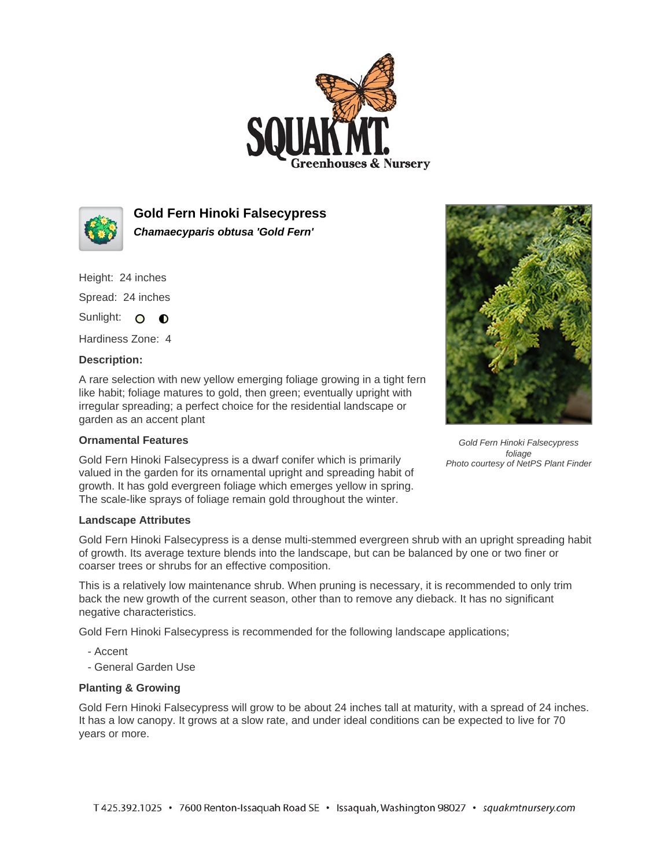



**Gold Fern Hinoki Falsecypress Chamaecyparis obtusa 'Gold Fern'**

Height: 24 inches

Spread: 24 inches

Sunlight: O **O** 

Hardiness Zone: 4

## **Description:**

A rare selection with new yellow emerging foliage growing in a tight fern like habit; foliage matures to gold, then green; eventually upright with irregular spreading; a perfect choice for the residential landscape or garden as an accent plant

## **Ornamental Features**

Gold Fern Hinoki Falsecypress is a dwarf conifer which is primarily valued in the garden for its ornamental upright and spreading habit of growth. It has gold evergreen foliage which emerges yellow in spring. The scale-like sprays of foliage remain gold throughout the winter.



Gold Fern Hinoki Falsecypress foliage Photo courtesy of NetPS Plant Finder

## **Landscape Attributes**

Gold Fern Hinoki Falsecypress is a dense multi-stemmed evergreen shrub with an upright spreading habit of growth. Its average texture blends into the landscape, but can be balanced by one or two finer or coarser trees or shrubs for an effective composition.

This is a relatively low maintenance shrub. When pruning is necessary, it is recommended to only trim back the new growth of the current season, other than to remove any dieback. It has no significant negative characteristics.

Gold Fern Hinoki Falsecypress is recommended for the following landscape applications;

- Accent
- General Garden Use

## **Planting & Growing**

Gold Fern Hinoki Falsecypress will grow to be about 24 inches tall at maturity, with a spread of 24 inches. It has a low canopy. It grows at a slow rate, and under ideal conditions can be expected to live for 70 years or more.